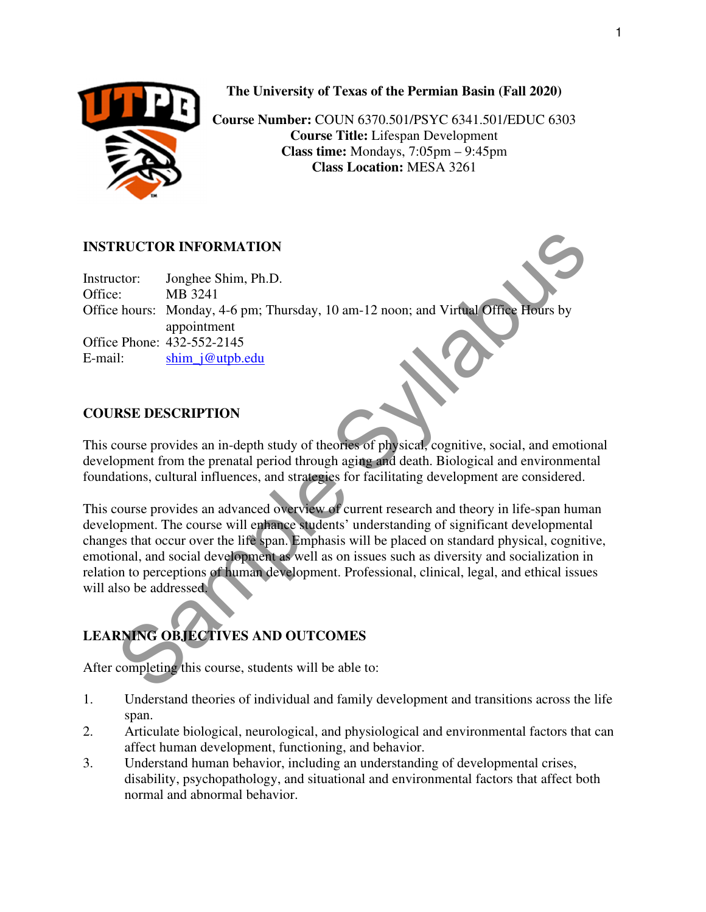

**The University of Texas of the Permian Basin (Fall 2020)** 

**Course Number:** COUN 6370.501/PSYC 6341.501/EDUC 6303 **Course Title:** Lifespan Development **Class time:** Mondays, 7:05pm – 9:45pm **Class Location:** MESA 3261

#### **INSTRUCTOR INFORMATION**

Instructor: Jonghee Shim, Ph.D. Office: MB 3241 Office hours: Monday, 4-6 pm; Thursday, 10 am-12 noon; and Virtual Office Hours by appointment Office Phone: 432-552-2145 E-mail: shim j@utpb.edu

#### **COURSE DESCRIPTION**

This course provides an in-depth study of theories of physical, cognitive, social, and emotional development from the prenatal period through aging and death. Biological and environmental foundations, cultural influences, and strategies for facilitating development are considered.

**RUCTOR INFORMATION**<br>
Section: Imphes Shim, Ph.D.<br>
S. MB 3241<br>
Shim, 1961, Thursday, 10 am-12 noon; and Virtual Office Hours by<br>
appointment<br>
appointment<br>
Phone: 432-552-2145<br>
Shim, 160 uphodulary of theories of physical, This course provides an advanced overview of current research and theory in life-span human development. The course will enhance students' understanding of significant developmental changes that occur over the life span. Emphasis will be placed on standard physical, cognitive, emotional, and social development as well as on issues such as diversity and socialization in relation to perceptions of human development. Professional, clinical, legal, and ethical issues will also be addressed.

# **LEARNING OBJECTIVES AND OUTCOMES**

After completing this course, students will be able to:

- 1. Understand theories of individual and family development and transitions across the life span.
- 2. Articulate biological, neurological, and physiological and environmental factors that can affect human development, functioning, and behavior.
- 3. Understand human behavior, including an understanding of developmental crises, disability, psychopathology, and situational and environmental factors that affect both normal and abnormal behavior.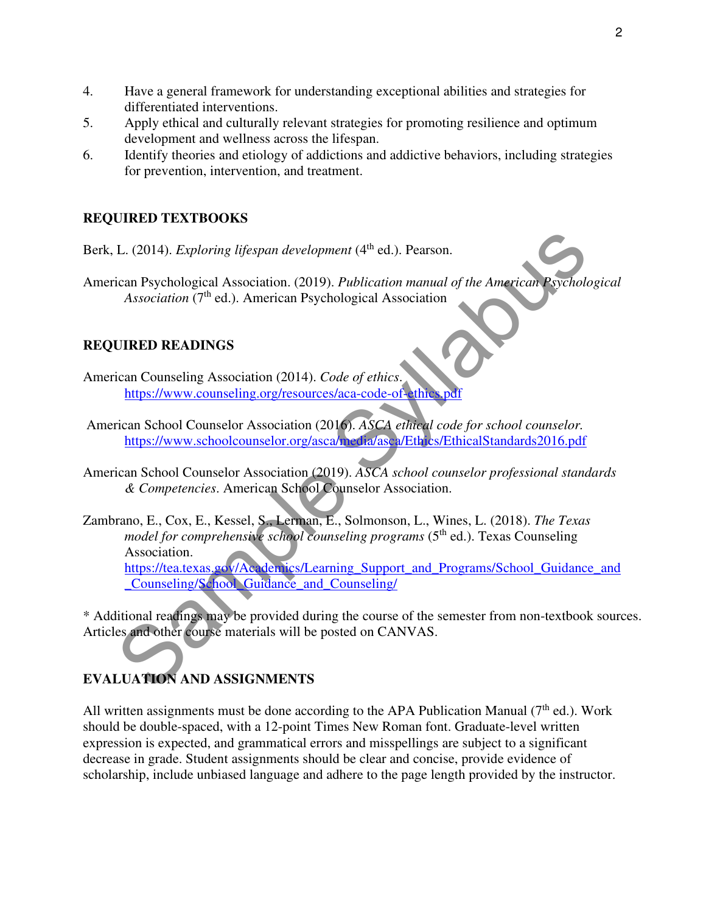- 4. Have a general framework for understanding exceptional abilities and strategies for differentiated interventions.
- 5. Apply ethical and culturally relevant strategies for promoting resilience and optimum development and wellness across the lifespan.
- 6. Identify theories and etiology of addictions and addictive behaviors, including strategies for prevention, intervention, and treatment.

#### **REQUIRED TEXTBOOKS**

- Berk, L. (2014). *Exploring lifespan development* (4<sup>th</sup> ed.). Pearson.
- American Psychological Association. (2019). *Publication manual of the American Psychological Association* (7<sup>th</sup> ed.). American Psychological Association

#### **REQUIRED READINGS**

- American Counseling Association (2014). *Code of ethics*. https://www.counseling.org/resources/aca-code-of-ethics.p
- American School Counselor Association (2016). *ASCA ethical code for school counselor.*  https://www.schoolcounselor.org/asca/media/asca/Ethics/EthicalStandards2016.pdf
- American School Counselor Association (2019). *ASCA school counselor professional standards & Competencies*. American School Counselor Association.
- L. (2014). *Exploring lifespan development* (4<sup>th</sup> ed.). Pearson.<br>
ican Psychological Association. (2019). *Publication manual of the American Psychologia*<br>
Association (7<sup>th</sup> ed.). American Psychological Association<br>
IURE Zambrano, E., Cox, E., Kessel, S., Lerman, E., Solmonson, L., Wines, L. (2018). *The Texas model for comprehensive school counseling programs* (5<sup>th</sup> ed.). Texas Counseling Association. https://tea.texas.gov/Academics/Learning\_Support\_and\_Programs/School\_Guidance\_and \_Counseling/School\_Guidance\_and\_Counseling/

\* Additional readings may be provided during the course of the semester from non-textbook sources. Articles and other course materials will be posted on CANVAS.

## **EVALUATION AND ASSIGNMENTS**

All written assignments must be done according to the APA Publication Manual ( $7<sup>th</sup>$  ed.). Work should be double-spaced, with a 12-point Times New Roman font. Graduate-level written expression is expected, and grammatical errors and misspellings are subject to a significant decrease in grade. Student assignments should be clear and concise, provide evidence of scholarship, include unbiased language and adhere to the page length provided by the instructor.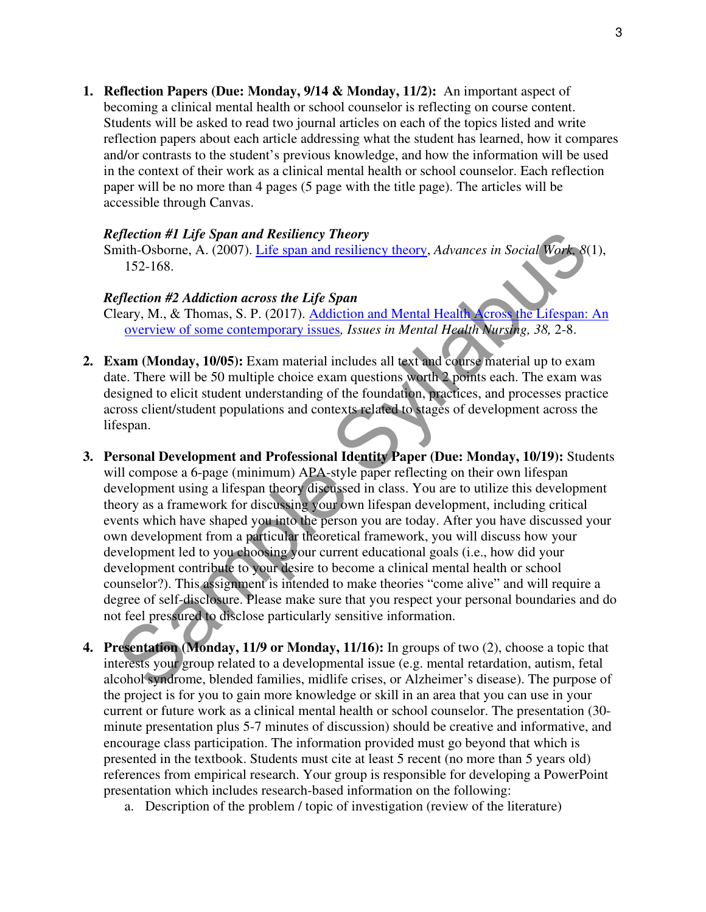**1. Reflection Papers (Due: Monday, 9/14 & Monday, 11/2):** An important aspect of becoming a clinical mental health or school counselor is reflecting on course content. Students will be asked to read two journal articles on each of the topics listed and write reflection papers about each article addressing what the student has learned, how it compares and/or contrasts to the student's previous knowledge, and how the information will be used in the context of their work as a clinical mental health or school counselor. Each reflection paper will be no more than 4 pages (5 page with the title page). The articles will be accessible through Canvas.

#### *Reflection #1 Life Span and Resiliency Theory*

Smith-Osborne, A. (2007). Life span and resiliency theory, *Advances in Social Work, 8*(1), 152-168.

#### *Reflection #2 Addiction across the Life Span*

Cleary, M., & Thomas, S. P. (2017). Addiction and Mental Health Across the Lifespan: An overview of some contemporary issues*, Issues in Mental Health Nursing, 38,* 2-8.

- **2. Exam (Monday, 10/05):** Exam material includes all text and course material up to exam date. There will be 50 multiple choice exam questions worth 2 points each. The exam was designed to elicit student understanding of the foundation, practices, and processes practice across client/student populations and contexts related to stages of development across the lifespan.
- effection #1 Life Span and Resiliency Theory<br>
mith-Osborne, A. (2007). Life span and resiliency theory, Advances in Social Work 8(1)<br>
152-168.<br>
effection #2 Addiction across the Life Span<br>
election #2 Addiction across the **3. Personal Development and Professional Identity Paper (Due: Monday, 10/19):** Students will compose a 6-page (minimum) APA-style paper reflecting on their own lifespan development using a lifespan theory discussed in class. You are to utilize this development theory as a framework for discussing your own lifespan development, including critical events which have shaped you into the person you are today. After you have discussed your own development from a particular theoretical framework, you will discuss how your development led to you choosing your current educational goals (i.e., how did your development contribute to your desire to become a clinical mental health or school counselor?). This assignment is intended to make theories "come alive" and will require a degree of self-disclosure. Please make sure that you respect your personal boundaries and do not feel pressured to disclose particularly sensitive information.
- **4. Presentation (Monday, 11/9 or Monday, 11/16):** In groups of two (2), choose a topic that interests your group related to a developmental issue (e.g. mental retardation, autism, fetal alcohol syndrome, blended families, midlife crises, or Alzheimer's disease). The purpose of the project is for you to gain more knowledge or skill in an area that you can use in your current or future work as a clinical mental health or school counselor. The presentation (30 minute presentation plus 5-7 minutes of discussion) should be creative and informative, and encourage class participation. The information provided must go beyond that which is presented in the textbook. Students must cite at least 5 recent (no more than 5 years old) references from empirical research. Your group is responsible for developing a PowerPoint presentation which includes research-based information on the following:
	- a. Description of the problem / topic of investigation (review of the literature)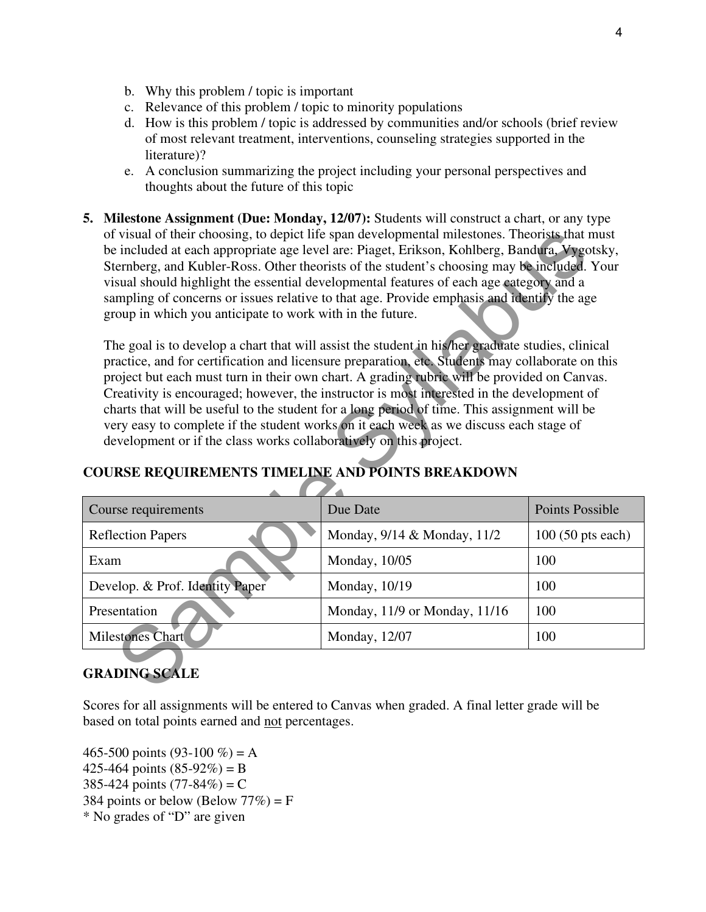- b. Why this problem / topic is important
- c. Relevance of this problem / topic to minority populations
- d. How is this problem / topic is addressed by communities and/or schools (brief review of most relevant treatment, interventions, counseling strategies supported in the literature)?
- e. A conclusion summarizing the project including your personal perspectives and thoughts about the future of this topic
- **5. Milestone Assignment (Due: Monday, 12/07):** Students will construct a chart, or any type of visual of their choosing, to depict life span developmental milestones. Theorists that must be included at each appropriate age level are: Piaget, Erikson, Kohlberg, Bandura, Vygotsky, Sternberg, and Kubler-Ross. Other theorists of the student's choosing may be included. Your visual should highlight the essential developmental features of each age category and a sampling of concerns or issues relative to that age. Provide emphasis and identify the age group in which you anticipate to work with in the future.

| of visual of their choosing, to depict life span developmental milestones. Theorists that must<br>be included at each appropriate age level are: Piaget, Erikson, Kohlberg, Bandura, Vygotsky,<br>Sternberg, and Kubler-Ross. Other theorists of the student's choosing may be included. Your<br>visual should highlight the essential developmental features of each age category and a<br>sampling of concerns or issues relative to that age. Provide emphasis and identify the age<br>group in which you anticipate to work with in the future.                                                                                                                                                                            |                               |                            |  |  |  |
|--------------------------------------------------------------------------------------------------------------------------------------------------------------------------------------------------------------------------------------------------------------------------------------------------------------------------------------------------------------------------------------------------------------------------------------------------------------------------------------------------------------------------------------------------------------------------------------------------------------------------------------------------------------------------------------------------------------------------------|-------------------------------|----------------------------|--|--|--|
| The goal is to develop a chart that will assist the student in his/her graduate studies, clinical<br>practice, and for certification and licensure preparation, etc. Students may collaborate on this<br>project but each must turn in their own chart. A grading rubric will be provided on Canvas.<br>Creativity is encouraged; however, the instructor is most interested in the development of<br>charts that will be useful to the student for a long period of time. This assignment will be<br>very easy to complete if the student works on it each week as we discuss each stage of<br>development or if the class works collaboratively on this project.<br><b>COURSE REQUIREMENTS TIMELINE AND POINTS BREAKDOWN</b> |                               |                            |  |  |  |
| Course requirements                                                                                                                                                                                                                                                                                                                                                                                                                                                                                                                                                                                                                                                                                                            | Due Date                      | <b>Points Possible</b>     |  |  |  |
| <b>Reflection Papers</b>                                                                                                                                                                                                                                                                                                                                                                                                                                                                                                                                                                                                                                                                                                       | Monday, 9/14 & Monday, 11/2   | $100(50 \text{ pts each})$ |  |  |  |
| Exam                                                                                                                                                                                                                                                                                                                                                                                                                                                                                                                                                                                                                                                                                                                           | Monday, 10/05                 | 100                        |  |  |  |
| Develop. & Prof. Identity Paper                                                                                                                                                                                                                                                                                                                                                                                                                                                                                                                                                                                                                                                                                                | Monday, 10/19                 | 100                        |  |  |  |
| Presentation                                                                                                                                                                                                                                                                                                                                                                                                                                                                                                                                                                                                                                                                                                                   | Monday, 11/9 or Monday, 11/16 | 100                        |  |  |  |
| <b>Milestones Chart</b>                                                                                                                                                                                                                                                                                                                                                                                                                                                                                                                                                                                                                                                                                                        | Monday, 12/07                 | 100                        |  |  |  |
| <b>GRADING SCALE</b>                                                                                                                                                                                                                                                                                                                                                                                                                                                                                                                                                                                                                                                                                                           |                               |                            |  |  |  |

## **COURSE REQUIREMENTS TIMELINE AND POINTS BREAKDOWN**

# **GRADING SCALE**

Scores for all assignments will be entered to Canvas when graded. A final letter grade will be based on total points earned and not percentages.

465-500 points (93-100 %) = A 425-464 points  $(85-92\%) = B$ 385-424 points  $(77-84%) = C$ 384 points or below (Below  $77\%$ ) = F \* No grades of "D" are given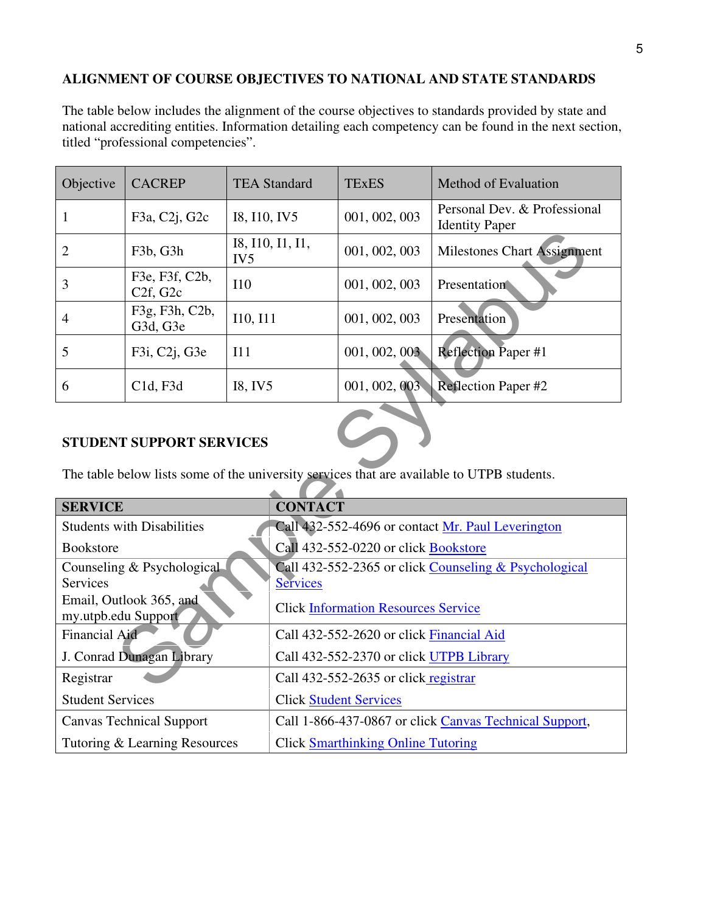## **ALIGNMENT OF COURSE OBJECTIVES TO NATIONAL AND STATE STANDARDS**

The table below includes the alignment of the course objectives to standards provided by state and national accrediting entities. Information detailing each competency can be found in the next section, titled "professional competencies".

| Objective | <b>CACREP</b>                      | <b>TEA Standard</b>                 | <b>TExES</b>  | Method of Evaluation                                  |
|-----------|------------------------------------|-------------------------------------|---------------|-------------------------------------------------------|
|           | F3a, C2j, G2c                      | I8, I10, IV5                        | 001, 002, 003 | Personal Dev. & Professional<br><b>Identity Paper</b> |
|           | F <sub>3</sub> b, G <sub>3</sub> h | I8, I10, I1, I1,<br>IV <sub>5</sub> | 001, 002, 003 | <b>Milestones Chart Assignment</b>                    |
| 3         | F3e, F3f, C2b,<br>C2f, G2c         | I10                                 | 001, 002, 003 | Presentation                                          |
| 4         | F3g, F3h, C2b,<br>G3d, G3e         | I10, I11                            | 001, 002, 003 | Presentation                                          |
| 5         | F3i, C2j, G3e                      | I11                                 | 001, 002, 003 | <b>Reflection Paper#1</b>                             |
| 6         | C1d, F3d                           | I8, IV5                             | 001, 002, 003 | <b>Reflection Paper #2</b>                            |

#### **STUDENT SUPPORT SERVICES**

| $\overline{2}$                                                                                                                | F <sub>3</sub> b, G <sub>3</sub> h                  | I8, I10, I1, I1,<br>IV <sub>5</sub> |                 | 001, 002, 003                              | <b>Milestones Chart Assignment</b>                     |
|-------------------------------------------------------------------------------------------------------------------------------|-----------------------------------------------------|-------------------------------------|-----------------|--------------------------------------------|--------------------------------------------------------|
| 3                                                                                                                             | F3e, F3f, C2b,<br>C <sub>2f</sub> , G <sub>2c</sub> | I10                                 |                 | 001, 002, 003                              | Presentation                                           |
| $\overline{4}$                                                                                                                | F3g, F3h, C2b,<br>G3d, G3e                          | I10, I11                            |                 | 001, 002, 003                              | Presentation                                           |
| 5                                                                                                                             | F3i, C2j, G3e                                       | I11                                 |                 | 001, 002, 003                              | <b>Reflection Paper #1</b>                             |
| 6                                                                                                                             | C1d, F3d                                            | I8, IV5                             |                 | 001, 002, 003                              | Reflection Paper #2                                    |
| <b>STUDENT SUPPORT SERVICES</b><br>The table below lists some of the university services that are available to UTPB students. |                                                     |                                     |                 |                                            |                                                        |
|                                                                                                                               |                                                     |                                     |                 |                                            |                                                        |
| <b>SERVICE</b>                                                                                                                |                                                     |                                     | <b>CONTACT</b>  |                                            |                                                        |
|                                                                                                                               | <b>Students with Disabilities</b>                   |                                     |                 |                                            | Call 432-552-4696 or contact Mr. Paul Leverington      |
| <b>Bookstore</b>                                                                                                              |                                                     |                                     |                 | Call 432-552-0220 or click Bookstore       |                                                        |
| <b>Services</b>                                                                                                               | Counseling & Psychological                          |                                     |                 |                                            | Call 432-552-2365 or click Counseling & Psychological  |
| my.utpb.edu Support                                                                                                           | Email, Outlook 365, and                             |                                     | <b>Services</b> | <b>Click Information Resources Service</b> |                                                        |
| <b>Financial Aid</b>                                                                                                          |                                                     |                                     |                 | Call 432-552-2620 or click Financial Aid   |                                                        |
|                                                                                                                               | J. Conrad Dunagan Library                           |                                     |                 | Call 432-552-2370 or click UTPB Library    |                                                        |
| Registrar                                                                                                                     |                                                     |                                     |                 | Call 432-552-2635 or click registrar       |                                                        |
| <b>Student Services</b>                                                                                                       |                                                     |                                     |                 | <b>Click Student Services</b>              |                                                        |
|                                                                                                                               | <b>Canvas Technical Support</b>                     |                                     |                 |                                            | Call 1-866-437-0867 or click Canvas Technical Support, |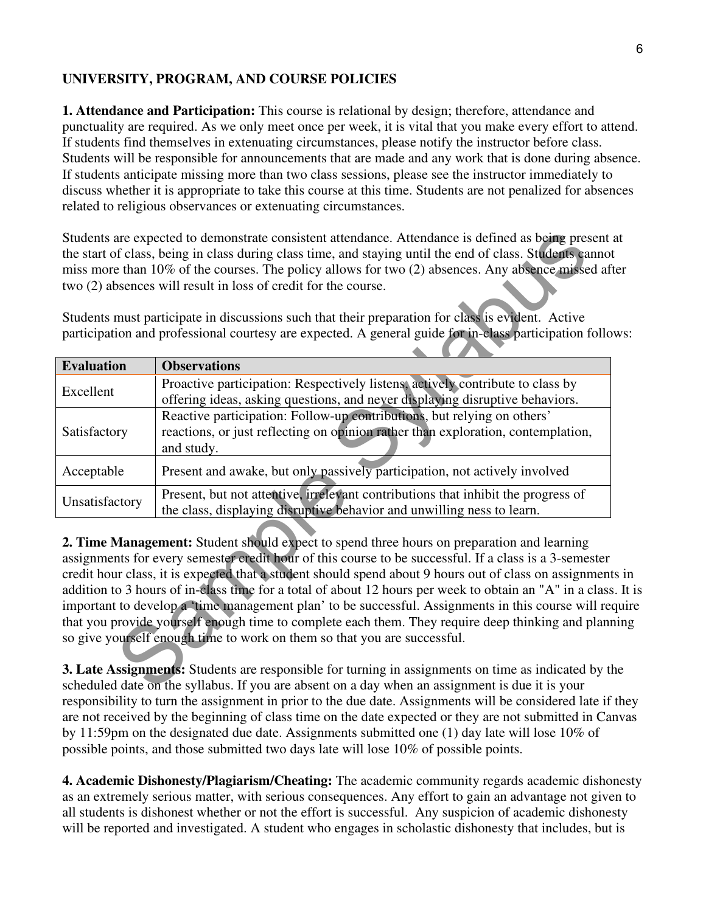## **UNIVERSITY, PROGRAM, AND COURSE POLICIES**

**1. Attendance and Participation:** This course is relational by design; therefore, attendance and punctuality are required. As we only meet once per week, it is vital that you make every effort to attend. If students find themselves in extenuating circumstances, please notify the instructor before class. Students will be responsible for announcements that are made and any work that is done during absence. If students anticipate missing more than two class sessions, please see the instructor immediately to discuss whether it is appropriate to take this course at this time. Students are not penalized for absences related to religious observances or extenuating circumstances.

|                                                                                                 | Students are expected to demonstrate consistent attendance. Attendance is defined as being present<br>the start of class, being in class during class time, and staying until the end of class. Students canno<br>miss more than 10% of the courses. The policy allows for two (2) absences. Any absence missed af<br>two (2) absences will result in loss of credit for the course.                                                                                                                                                                                                                                                                                                                            |  |  |  |
|-------------------------------------------------------------------------------------------------|-----------------------------------------------------------------------------------------------------------------------------------------------------------------------------------------------------------------------------------------------------------------------------------------------------------------------------------------------------------------------------------------------------------------------------------------------------------------------------------------------------------------------------------------------------------------------------------------------------------------------------------------------------------------------------------------------------------------|--|--|--|
|                                                                                                 | Students must participate in discussions such that their preparation for class is evident. Active<br>participation and professional courtesy are expected. A general guide for in-class participation follo                                                                                                                                                                                                                                                                                                                                                                                                                                                                                                     |  |  |  |
| <b>Evaluation</b>                                                                               | <b>Observations</b>                                                                                                                                                                                                                                                                                                                                                                                                                                                                                                                                                                                                                                                                                             |  |  |  |
| Excellent                                                                                       | Proactive participation: Respectively listens, actively contribute to class by<br>offering ideas, asking questions, and never displaying disruptive behaviors.                                                                                                                                                                                                                                                                                                                                                                                                                                                                                                                                                  |  |  |  |
| Satisfactory                                                                                    | Reactive participation: Follow-up contributions, but relying on others'<br>reactions, or just reflecting on opinion rather than exploration, contemplation,<br>and study.                                                                                                                                                                                                                                                                                                                                                                                                                                                                                                                                       |  |  |  |
| Acceptable                                                                                      | Present and awake, but only passively participation, not actively involved                                                                                                                                                                                                                                                                                                                                                                                                                                                                                                                                                                                                                                      |  |  |  |
| Unsatisfactory                                                                                  | Present, but not attentive, irrelevant contributions that inhibit the progress of<br>the class, displaying disruptive behavior and unwilling ness to learn.                                                                                                                                                                                                                                                                                                                                                                                                                                                                                                                                                     |  |  |  |
|                                                                                                 | 2. Time Management: Student should expect to spend three hours on preparation and learning<br>assignments for every semester credit hour of this course to be successful. If a class is a 3-semester<br>credit hour class, it is expected that a student should spend about 9 hours out of class on assignment<br>addition to 3 hours of in-class time for a total of about 12 hours per week to obtain an "A" in a class<br>important to develop a 'time management plan' to be successful. Assignments in this course will re<br>that you provide yourself enough time to complete each them. They require deep thinking and plan<br>so give yourself enough time to work on them so that you are successful. |  |  |  |
|                                                                                                 | 3. Late Assignments: Students are responsible for turning in assignments on time as indicated by t                                                                                                                                                                                                                                                                                                                                                                                                                                                                                                                                                                                                              |  |  |  |
| scheduled date on the syllabus. If you are absent on a day when an assignment is due it is your |                                                                                                                                                                                                                                                                                                                                                                                                                                                                                                                                                                                                                                                                                                                 |  |  |  |

**2. Time Management:** Student should expect to spend three hours on preparation and learning assignments for every semester credit hour of this course to be successful. If a class is a 3-semester credit hour class, it is expected that a student should spend about 9 hours out of class on assignments in addition to 3 hours of in-class time for a total of about 12 hours per week to obtain an "A" in a class. It is important to develop a 'time management plan' to be successful. Assignments in this course will require that you provide yourself enough time to complete each them. They require deep thinking and planning so give yourself enough time to work on them so that you are successful.

**3. Late Assignments:** Students are responsible for turning in assignments on time as indicated by the scheduled date on the syllabus. If you are absent on a day when an assignment is due it is your responsibility to turn the assignment in prior to the due date. Assignments will be considered late if they are not received by the beginning of class time on the date expected or they are not submitted in Canvas by 11:59pm on the designated due date. Assignments submitted one (1) day late will lose 10% of possible points, and those submitted two days late will lose 10% of possible points.

**4. Academic Dishonesty/Plagiarism/Cheating:** The academic community regards academic dishonesty as an extremely serious matter, with serious consequences. Any effort to gain an advantage not given to all students is dishonest whether or not the effort is successful. Any suspicion of academic dishonesty will be reported and investigated. A student who engages in scholastic dishonesty that includes, but is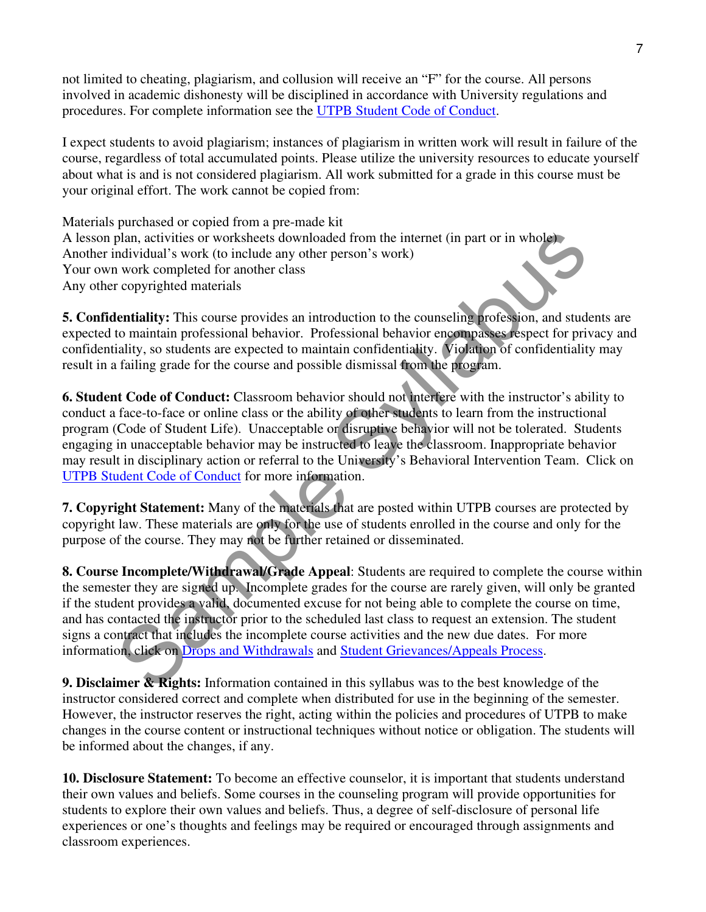not limited to cheating, plagiarism, and collusion will receive an "F" for the course. All persons involved in academic dishonesty will be disciplined in accordance with University regulations and procedures. For complete information see the UTPB Student Code of Conduct.

I expect students to avoid plagiarism; instances of plagiarism in written work will result in failure of the course, regardless of total accumulated points. Please utilize the university resources to educate yourself about what is and is not considered plagiarism. All work submitted for a grade in this course must be your original effort. The work cannot be copied from:

Materials purchased or copied from a pre-made kit A lesson plan, activities or worksheets downloaded from the internet (in part or in whole) Another individual's work (to include any other person's work) Your own work completed for another class Any other copyrighted materials

**5. Confidentiality:** This course provides an introduction to the counseling profession, and students are expected to maintain professional behavior. Professional behavior encompasses respect for privacy and confidentiality, so students are expected to maintain confidentiality. Violation of confidentiality may result in a failing grade for the course and possible dismissal from the program.

plan, activities or worksheets downloaded from the internet (in part or in whole)<br>ndividual's work (to include any other person's work)<br>work campleted for another class<br>reopyrighted materials<br>tentality: This course provide **6. Student Code of Conduct:** Classroom behavior should not interfere with the instructor's ability to conduct a face-to-face or online class or the ability of other students to learn from the instructional program (Code of Student Life). Unacceptable or disruptive behavior will not be tolerated. Students engaging in unacceptable behavior may be instructed to leave the classroom. Inappropriate behavior may result in disciplinary action or referral to the University's Behavioral Intervention Team. Click on UTPB Student Code of Conduct for more information.

**7. Copyright Statement:** Many of the materials that are posted within UTPB courses are protected by copyright law. These materials are only for the use of students enrolled in the course and only for the purpose of the course. They may not be further retained or disseminated.

**8. Course Incomplete/Withdrawal/Grade Appeal**: Students are required to complete the course within the semester they are signed up. Incomplete grades for the course are rarely given, will only be granted if the student provides a valid, documented excuse for not being able to complete the course on time, and has contacted the instructor prior to the scheduled last class to request an extension. The student signs a contract that includes the incomplete course activities and the new due dates. For more information, click on Drops and Withdrawals and Student Grievances/Appeals Process.

**9. Disclaimer & Rights:** Information contained in this syllabus was to the best knowledge of the instructor considered correct and complete when distributed for use in the beginning of the semester. However, the instructor reserves the right, acting within the policies and procedures of UTPB to make changes in the course content or instructional techniques without notice or obligation. The students will be informed about the changes, if any.

**10. Disclosure Statement:** To become an effective counselor, it is important that students understand their own values and beliefs. Some courses in the counseling program will provide opportunities for students to explore their own values and beliefs. Thus, a degree of self-disclosure of personal life experiences or one's thoughts and feelings may be required or encouraged through assignments and classroom experiences.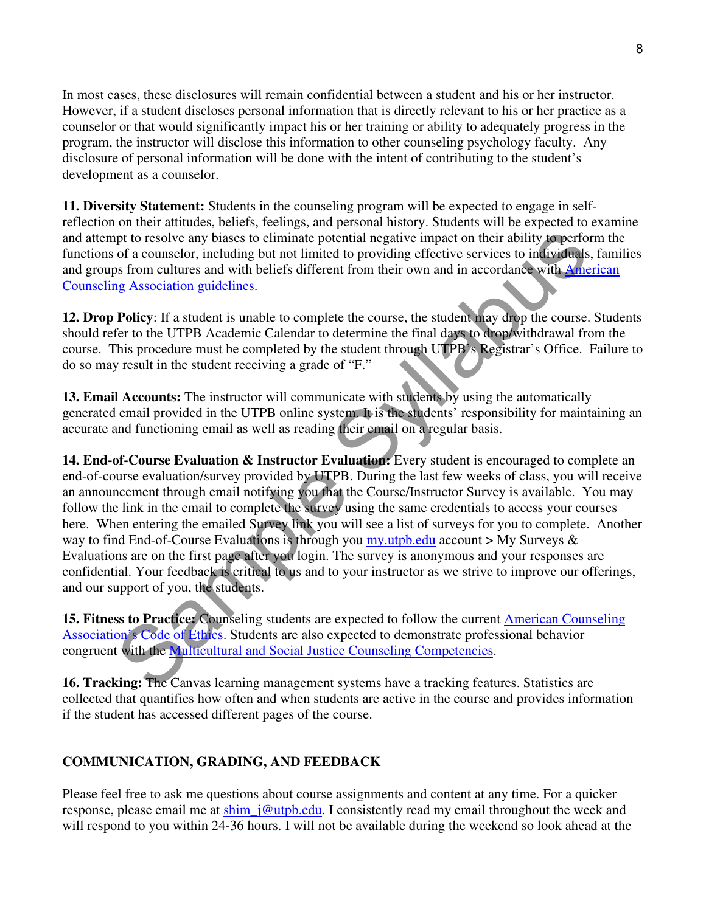In most cases, these disclosures will remain confidential between a student and his or her instructor. However, if a student discloses personal information that is directly relevant to his or her practice as a counselor or that would significantly impact his or her training or ability to adequately progress in the program, the instructor will disclose this information to other counseling psychology faculty. Any disclosure of personal information will be done with the intent of contributing to the student's development as a counselor.

**11. Diversity Statement:** Students in the counseling program will be expected to engage in selfreflection on their attitudes, beliefs, feelings, and personal history. Students will be expected to examine and attempt to resolve any biases to eliminate potential negative impact on their ability to perform the functions of a counselor, including but not limited to providing effective services to individuals, families and groups from cultures and with beliefs different from their own and in accordance with American Counseling Association guidelines.

**12. Drop Policy**: If a student is unable to complete the course, the student may drop the course. Students should refer to the UTPB Academic Calendar to determine the final days to drop/withdrawal from the course. This procedure must be completed by the student through UTPB's Registrar's Office. Failure to do so may result in the student receiving a grade of "F."

**13. Email Accounts:** The instructor will communicate with students by using the automatically generated email provided in the UTPB online system. It is the students' responsibility for maintaining an accurate and functioning email as well as reading their email on a regular basis.

pt to resolve any biases to eliminate potential negative impact on their ability to perform<br>of a counselor, including but not limited to providing effective services to individuals, the<br>max form cultures and with bielefs **14. End-of-Course Evaluation & Instructor Evaluation:** Every student is encouraged to complete an end-of-course evaluation/survey provided by UTPB. During the last few weeks of class, you will receive an announcement through email notifying you that the Course/Instructor Survey is available. You may follow the link in the email to complete the survey using the same credentials to access your courses here. When entering the emailed Survey link you will see a list of surveys for you to complete. Another way to find End-of-Course Evaluations is through you my.utpb.edu account  $>$  My Surveys  $\&$ Evaluations are on the first page after you login. The survey is anonymous and your responses are confidential. Your feedback is critical to us and to your instructor as we strive to improve our offerings, and our support of you, the students.

**15. Fitness to Practice:** Counseling students are expected to follow the current American Counseling Association's Code of Ethics. Students are also expected to demonstrate professional behavior congruent with the Multicultural and Social Justice Counseling Competencies.

**16. Tracking:** The Canvas learning management systems have a tracking features. Statistics are collected that quantifies how often and when students are active in the course and provides information if the student has accessed different pages of the course.

## **COMMUNICATION, GRADING, AND FEEDBACK**

Please feel free to ask me questions about course assignments and content at any time. For a quicker response, please email me at shim\_j@utpb.edu. I consistently read my email throughout the week and will respond to you within 24-36 hours. I will not be available during the weekend so look ahead at the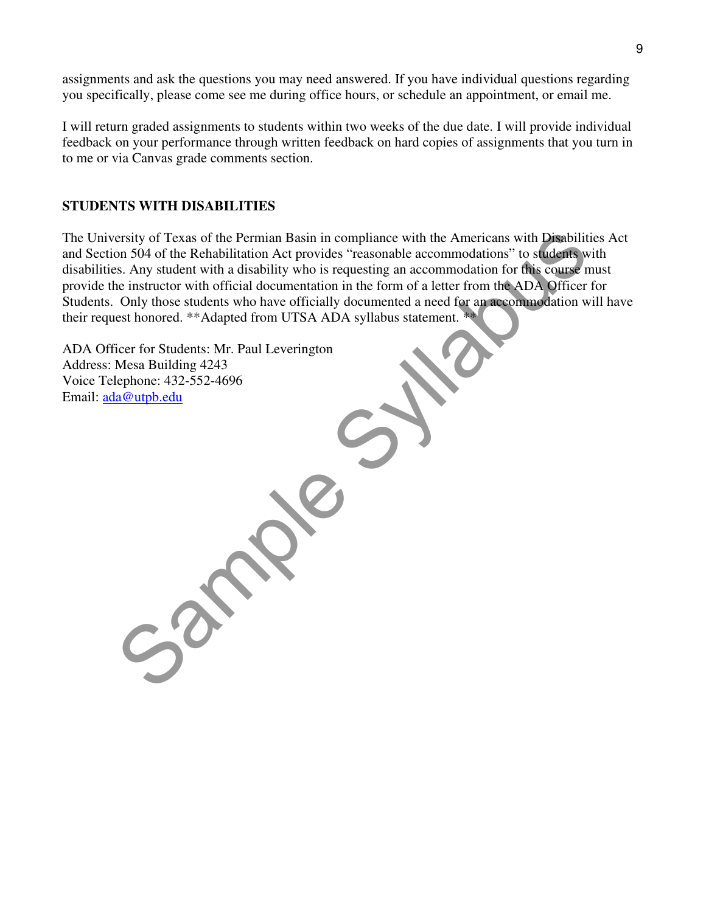assignments and ask the questions you may need answered. If you have individual questions regarding you specifically, please come see me during office hours, or schedule an appointment, or email me.

I will return graded assignments to students within two weeks of the due date. I will provide individual feedback on your performance through written feedback on hard copies of assignments that you turn in to me or via Canvas grade comments section.

#### **STUDENTS WITH DISABILITIES**

ersity of Texas of the Permian Basin in compliance with the Americans with Disabilities<br>on 504 of the Rehabilitation Act provides "reasonable accommodation for this connect must<br>consider with official documentation in the The University of Texas of the Permian Basin in compliance with the Americans with Disabilities Act and Section 504 of the Rehabilitation Act provides "reasonable accommodations" to students with disabilities. Any student with a disability who is requesting an accommodation for this course must provide the instructor with official documentation in the form of a letter from the ADA Officer for Students. Only those students who have officially documented a need for an accommodation will have their request honored. \*\*Adapted from UTSA ADA syllabus statement. \*\*

ADA Officer for Students: Mr. Paul Leverington Address: Mesa Building 4243 Voice Telephone: 432-552-4696 Email: ada@utpb.edu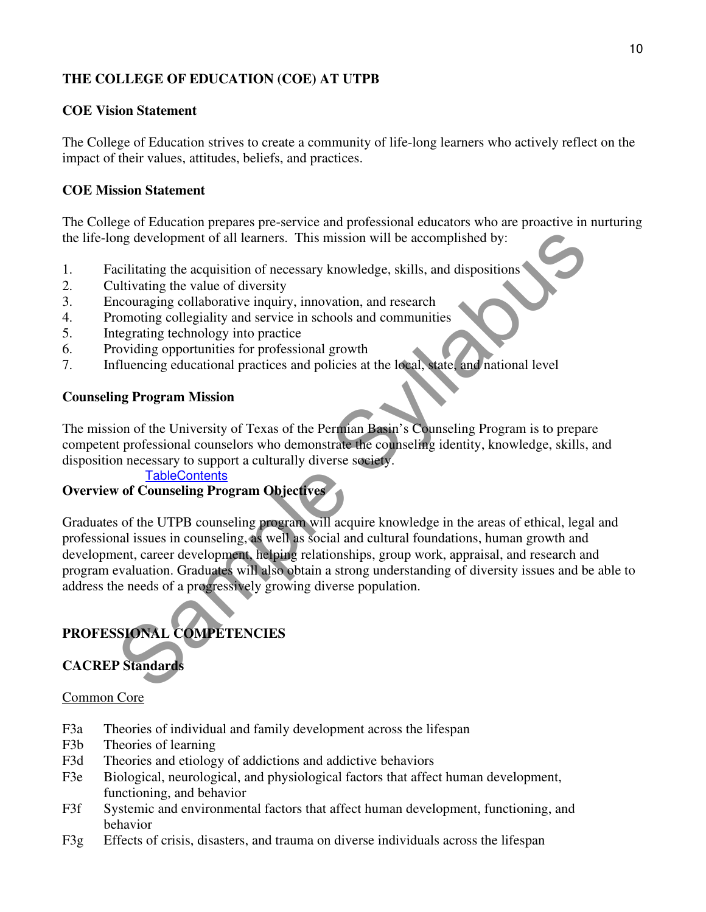## **THE COLLEGE OF EDUCATION (COE) AT UTPB**

#### **COE Vision Statement**

The College of Education strives to create a community of life-long learners who actively reflect on the impact of their values, attitudes, beliefs, and practices.

#### **COE Mission Statement**

The College of Education prepares pre-service and professional educators who are proactive in nurturing the life-long development of all learners. This mission will be accomplished by:

- 1. Facilitating the acquisition of necessary knowledge, skills, and dispositions<br>2. Cultivating the value of diversity
- 2. Cultivating the value of diversity
- 3. Encouraging collaborative inquiry, innovation, and research
- 4. Promoting collegiality and service in schools and communities
- 5. Integrating technology into practice
- 6. Providing opportunities for professional growth
- 7. Influencing educational practices and policies at the local, state, and national level

#### **Counseling Program Mission**

The mission of the University of Texas of the Permian Basin's Counseling Program is to prepare competent professional counselors who demonstrate the counseling identity, knowledge, skills, and disposition necessary to support a culturally diverse society.

#### **TableContents**

## **Overview of Counseling Program Objectives**

ing development of all learners. This mission will be accomplished by:<br>
acilitating the acquisition of necessary knowledge, skills, and dispositions<br>
acilitating the value of diversity<br>
accompanies accompanies are accompan Graduates of the UTPB counseling program will acquire knowledge in the areas of ethical, legal and professional issues in counseling, as well as social and cultural foundations, human growth and development, career development, helping relationships, group work, appraisal, and research and program evaluation. Graduates will also obtain a strong understanding of diversity issues and be able to address the needs of a progressively growing diverse population.

# **PROFESSIONAL COMPETENCIES**

# **CACREP Standards**

#### Common Core

- F3a Theories of individual and family development across the lifespan
- F3b Theories of learning
- F3d Theories and etiology of addictions and addictive behaviors
- F3e Biological, neurological, and physiological factors that affect human development, functioning, and behavior
- F3f Systemic and environmental factors that affect human development, functioning, and behavior
- F3g Effects of crisis, disasters, and trauma on diverse individuals across the lifespan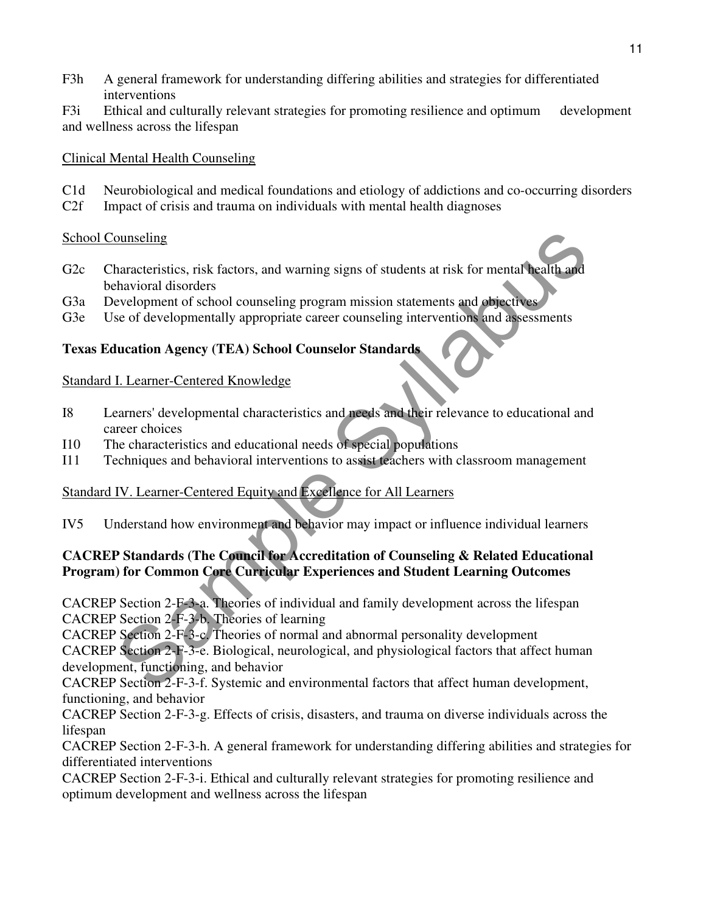- F3h A general framework for understanding differing abilities and strategies for differentiated interventions
- F3i Ethical and culturally relevant strategies for promoting resilience and optimum development and wellness across the lifespan

### Clinical Mental Health Counseling

- C1d Neurobiological and medical foundations and etiology of addictions and co-occurring disorders
- C2f Impact of crisis and trauma on individuals with mental health diagnoses

## School Counseling

- ourseling<br>
haracteristics, risk factors, and warning signs of students at risk for mental health and<br>
chavior disorders<br>
evelopment of school counseling program mission statements and objectives<br>
se of developmentally appr G2c Characteristics, risk factors, and warning signs of students at risk for mental health and behavioral disorders
- G3a Development of school counseling program mission statements and objectives
- G3e Use of developmentally appropriate career counseling interventions and assessments

## **Texas Education Agency (TEA) School Counselor Standards**

## Standard I. Learner-Centered Knowledge

- I8 Learners' developmental characteristics and needs and their relevance to educational and career choices
- I10 The characteristics and educational needs of special populations
- I11 Techniques and behavioral interventions to assist teachers with classroom management

# Standard IV. Learner-Centered Equity and Excellence for All Learners

IV5 Understand how environment and behavior may impact or influence individual learners

#### **CACREP Standards (The Council for Accreditation of Counseling & Related Educational Program) for Common Core Curricular Experiences and Student Learning Outcomes**

CACREP Section 2-F-3-a. Theories of individual and family development across the lifespan CACREP Section 2-F-3-b. Theories of learning

CACREP Section 2-F-3-c. Theories of normal and abnormal personality development

CACREP Section 2-F-3-e. Biological, neurological, and physiological factors that affect human development, functioning, and behavior

CACREP Section 2-F-3-f. Systemic and environmental factors that affect human development, functioning, and behavior

CACREP Section 2-F-3-g. Effects of crisis, disasters, and trauma on diverse individuals across the lifespan

CACREP Section 2-F-3-h. A general framework for understanding differing abilities and strategies for differentiated interventions

CACREP Section 2-F-3-i. Ethical and culturally relevant strategies for promoting resilience and optimum development and wellness across the lifespan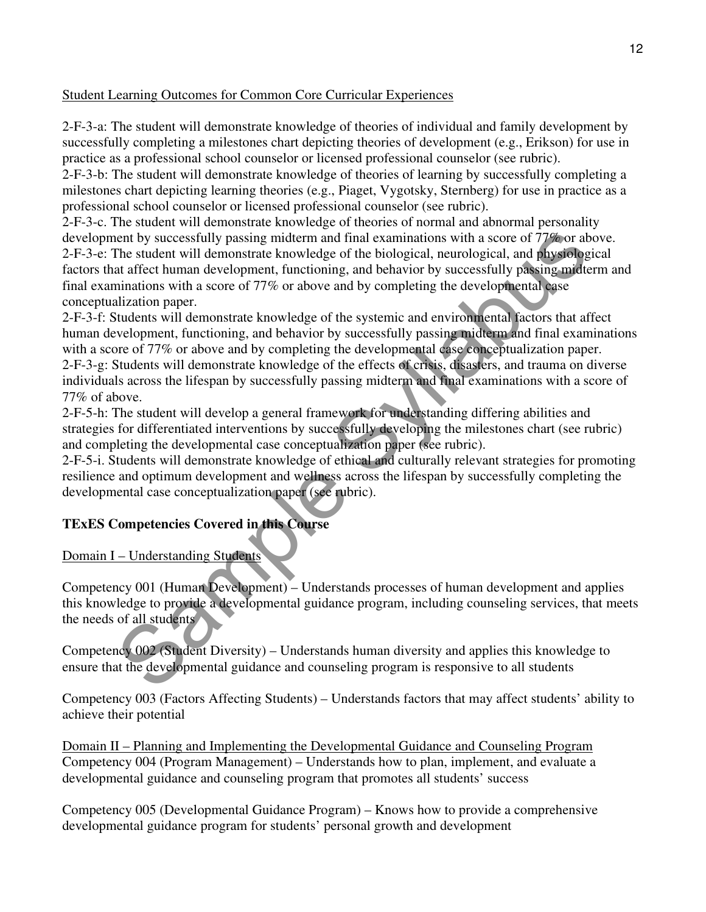#### Student Learning Outcomes for Common Core Curricular Experiences

2-F-3-a: The student will demonstrate knowledge of theories of individual and family development by successfully completing a milestones chart depicting theories of development (e.g., Erikson) for use in practice as a professional school counselor or licensed professional counselor (see rubric).

2-F-3-b: The student will demonstrate knowledge of theories of learning by successfully completing a milestones chart depicting learning theories (e.g., Piaget, Vygotsky, Sternberg) for use in practice as a professional school counselor or licensed professional counselor (see rubric).

2-F-3-c. The student will demonstrate knowledge of theories of normal and abnormal personality development by successfully passing midterm and final examinations with a score of 77% or above. 2-F-3-e: The student will demonstrate knowledge of the biological, neurological, and physiological factors that affect human development, functioning, and behavior by successfully passing midterm and final examinations with a score of 77% or above and by completing the developmental case conceptualization paper.

neut by successfully passing midterm and final examinations with a score of 77% or about<br>the student will demonstrate knowledge of the biological, neurological, and physiopogical<br>at affect human development, functioning, a 2-F-3-f: Students will demonstrate knowledge of the systemic and environmental factors that affect human development, functioning, and behavior by successfully passing midterm and final examinations with a score of 77% or above and by completing the developmental case conceptualization paper. 2-F-3-g: Students will demonstrate knowledge of the effects of crisis, disasters, and trauma on diverse individuals across the lifespan by successfully passing midterm and final examinations with a score of 77% of above.

2-F-5-h: The student will develop a general framework for understanding differing abilities and strategies for differentiated interventions by successfully developing the milestones chart (see rubric) and completing the developmental case conceptualization paper (see rubric).

2-F-5-i. Students will demonstrate knowledge of ethical and culturally relevant strategies for promoting resilience and optimum development and wellness across the lifespan by successfully completing the developmental case conceptualization paper (see rubric).

## **TExES Competencies Covered in this Course**

#### Domain I – Understanding Students

Competency 001 (Human Development) – Understands processes of human development and applies this knowledge to provide a developmental guidance program, including counseling services, that meets the needs of all students

Competency 002 (Student Diversity) – Understands human diversity and applies this knowledge to ensure that the developmental guidance and counseling program is responsive to all students

Competency 003 (Factors Affecting Students) – Understands factors that may affect students' ability to achieve their potential

Domain II – Planning and Implementing the Developmental Guidance and Counseling Program Competency 004 (Program Management) – Understands how to plan, implement, and evaluate a developmental guidance and counseling program that promotes all students' success

Competency 005 (Developmental Guidance Program) – Knows how to provide a comprehensive developmental guidance program for students' personal growth and development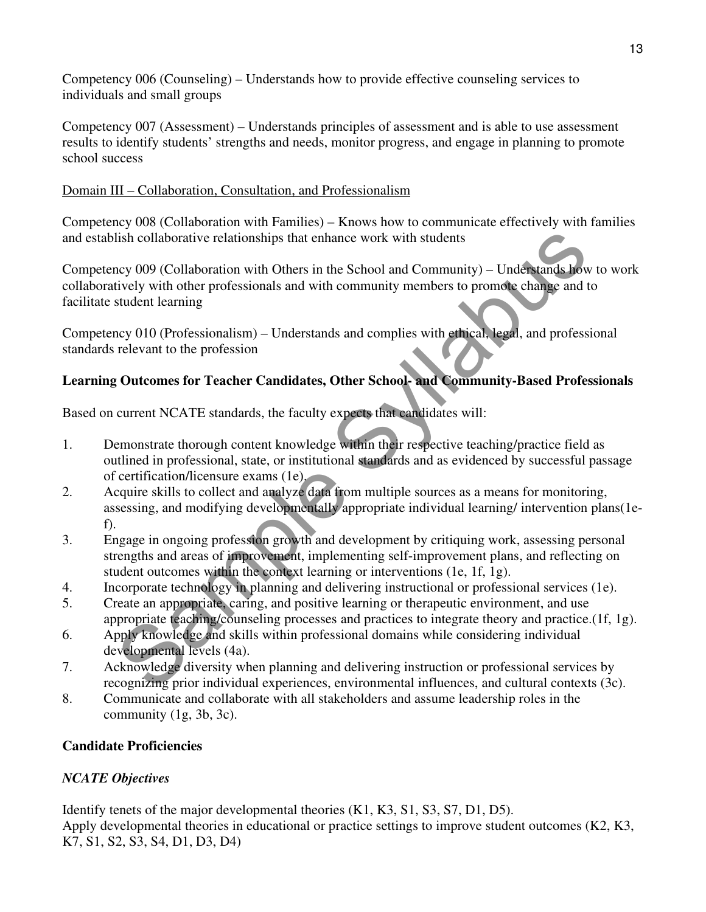Competency 006 (Counseling) – Understands how to provide effective counseling services to individuals and small groups

Competency 007 (Assessment) – Understands principles of assessment and is able to use assessment results to identify students' strengths and needs, monitor progress, and engage in planning to promote school success

#### Domain III – Collaboration, Consultation, and Professionalism

Competency 008 (Collaboration with Families) – Knows how to communicate effectively with families and establish collaborative relationships that enhance work with students

lish collaborative relationships that enhance work with students<br>ney 009 (Collaboration with Others in the School and Community) – Understands how<br>tively with other professionals and with community members to promote chan Competency 009 (Collaboration with Others in the School and Community) – Understands how to work collaboratively with other professionals and with community members to promote change and to facilitate student learning

Competency 010 (Professionalism) – Understands and complies with ethical, legal, and professional standards relevant to the profession

## **Learning Outcomes for Teacher Candidates, Other School- and Community-Based Professionals**

Based on current NCATE standards, the faculty expects that candidates will:

- 1. Demonstrate thorough content knowledge within their respective teaching/practice field as outlined in professional, state, or institutional standards and as evidenced by successful passage of certification/licensure exams (1e).
- 2. Acquire skills to collect and analyze data from multiple sources as a means for monitoring, assessing, and modifying developmentally appropriate individual learning/ intervention plans(1ef).
- 3. Engage in ongoing profession growth and development by critiquing work, assessing personal strengths and areas of improvement, implementing self-improvement plans, and reflecting on student outcomes within the context learning or interventions (1e, 1f, 1g).
- 4. Incorporate technology in planning and delivering instructional or professional services (1e).
- 5. Create an appropriate, caring, and positive learning or therapeutic environment, and use appropriate teaching/counseling processes and practices to integrate theory and practice.(1f, 1g).
- 6. Apply knowledge and skills within professional domains while considering individual developmental levels (4a).
- 7. Acknowledge diversity when planning and delivering instruction or professional services by recognizing prior individual experiences, environmental influences, and cultural contexts (3c).
- 8. Communicate and collaborate with all stakeholders and assume leadership roles in the community (1g, 3b, 3c).

## **Candidate Proficiencies**

## *NCATE Objectives*

Identify tenets of the major developmental theories (K1, K3, S1, S3, S7, D1, D5). Apply developmental theories in educational or practice settings to improve student outcomes (K2, K3, K7, S1, S2, S3, S4, D1, D3, D4)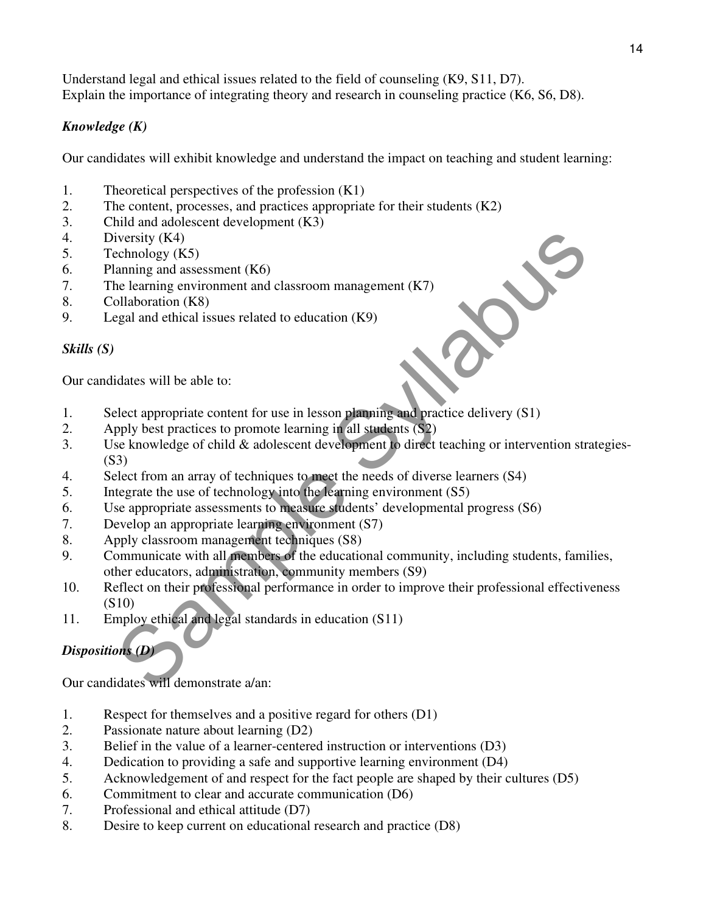Understand legal and ethical issues related to the field of counseling (K9, S11, D7). Explain the importance of integrating theory and research in counseling practice (K6, S6, D8).

## *Knowledge (K)*

Our candidates will exhibit knowledge and understand the impact on teaching and student learning:

- 1. Theoretical perspectives of the profession (K1)
- 2. The content, processes, and practices appropriate for their students (K2)
- 3. Child and adolescent development (K3)
- 4. Diversity (K4)
- 5. Technology (K5)
- 6. Planning and assessment (K6)
- 7. The learning environment and classroom management (K7)
- 8. Collaboration (K8)
- 9. Legal and ethical issues related to education (K9)

#### *Skills (S)*

Our candidates will be able to:

- 1. Select appropriate content for use in lesson planning and practice delivery (S1)
- 2. Apply best practices to promote learning in all students (S2)
- iversity (K4)<br>
cehenology (K5)<br>
cehenology (K5)<br>
ananing and assessment (K6)<br>
le larming environment and classroom management (K7)<br>
bellaboration (K8)<br>
egal and ethical issues related to education (K9)<br>
egal and ethical is 3. Use knowledge of child & adolescent development to direct teaching or intervention strategies- (S3)
- 4. Select from an array of techniques to meet the needs of diverse learners (S4)
- 5. Integrate the use of technology into the learning environment (S5)
- 6. Use appropriate assessments to measure students' developmental progress (S6)
- 7. Develop an appropriate learning environment (S7)
- 8. Apply classroom management techniques (S8)
- 9. Communicate with all members of the educational community, including students, families, other educators, administration, community members (S9)
- 10. Reflect on their professional performance in order to improve their professional effectiveness (S10)
- 11. Employ ethical and legal standards in education (S11)

## *Dispositions (D)*

Our candidates will demonstrate a/an:

- 1. Respect for themselves and a positive regard for others (D1)
- 2. Passionate nature about learning (D2)
- 3. Belief in the value of a learner-centered instruction or interventions (D3)
- 4. Dedication to providing a safe and supportive learning environment (D4)
- 5. Acknowledgement of and respect for the fact people are shaped by their cultures (D5)
- 6. Commitment to clear and accurate communication (D6)
- 7. Professional and ethical attitude (D7)
- 8. Desire to keep current on educational research and practice (D8)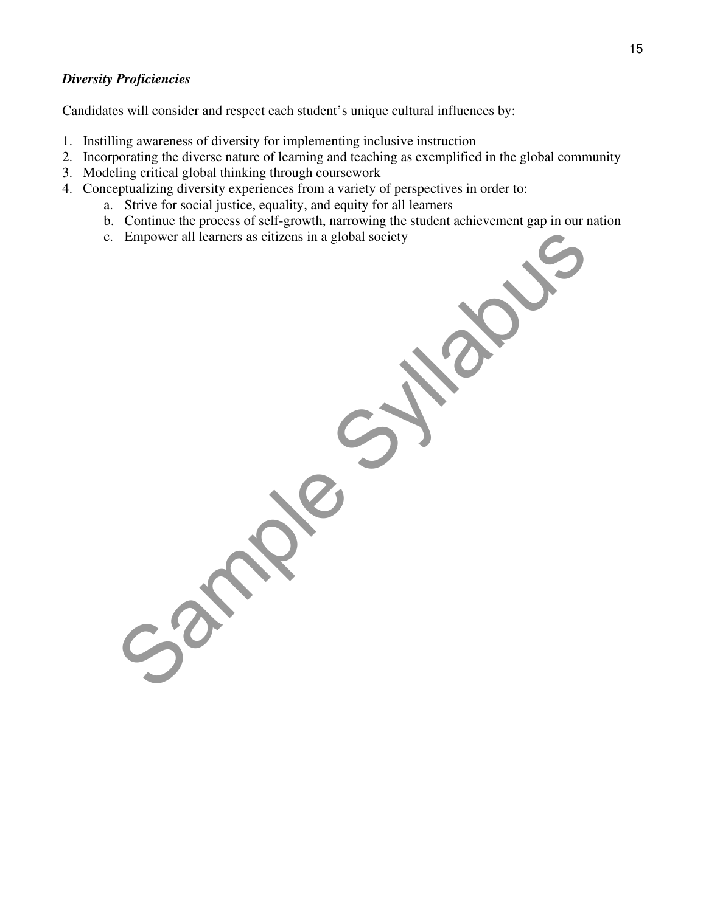#### *Diversity Proficiencies*

Candidates will consider and respect each student's unique cultural influences by:

- 1. Instilling awareness of diversity for implementing inclusive instruction
- 2. Incorporating the diverse nature of learning and teaching as exemplified in the global community
- 3. Modeling critical global thinking through coursework
- 4. Conceptualizing diversity experiences from a variety of perspectives in order to:
	- a. Strive for social justice, equality, and equity for all learners
	- b. Continue the process of self-growth, narrowing the student achievement gap in our nation
	- c. Empower all learners as citizens in a global society

Empower all learners as citizens in a global society<br>Sample Syllabus Society